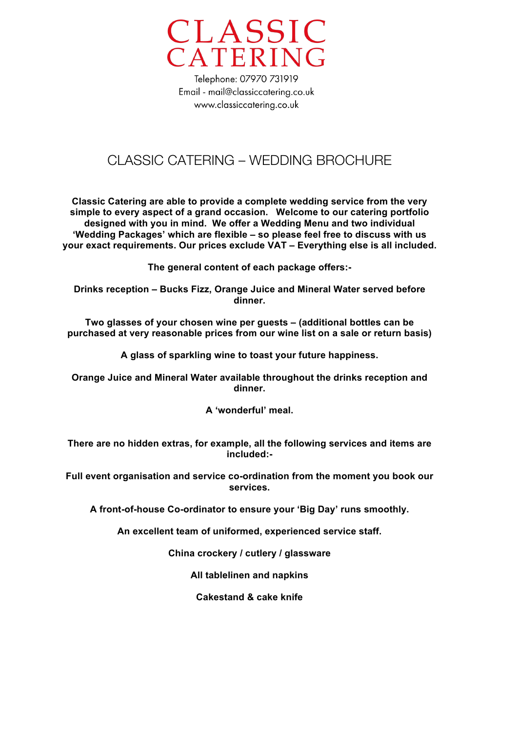

### CLASSIC CATERING – WEDDING BROCHURE

**Classic Catering are able to provide a complete wedding service from the very simple to every aspect of a grand occasion. Welcome to our catering portfolio designed with you in mind. We offer a Wedding Menu and two individual 'Wedding Packages' which are flexible – so please feel free to discuss with us your exact requirements. Our prices exclude VAT – Everything else is all included.**

**The general content of each package offers:-** 

**Drinks reception – Bucks Fizz, Orange Juice and Mineral Water served before dinner.**

**Two glasses of your chosen wine per guests – (additional bottles can be purchased at very reasonable prices from our wine list on a sale or return basis)**

**A glass of sparkling wine to toast your future happiness.**

**Orange Juice and Mineral Water available throughout the drinks reception and dinner.**

**A 'wonderful' meal.**

**There are no hidden extras, for example, all the following services and items are included:-** 

**Full event organisation and service co-ordination from the moment you book our services.**

**A front-of-house Co-ordinator to ensure your 'Big Day' runs smoothly.**

**An excellent team of uniformed, experienced service staff.**

**China crockery / cutlery / glassware**

**All tablelinen and napkins**

**Cakestand & cake knife**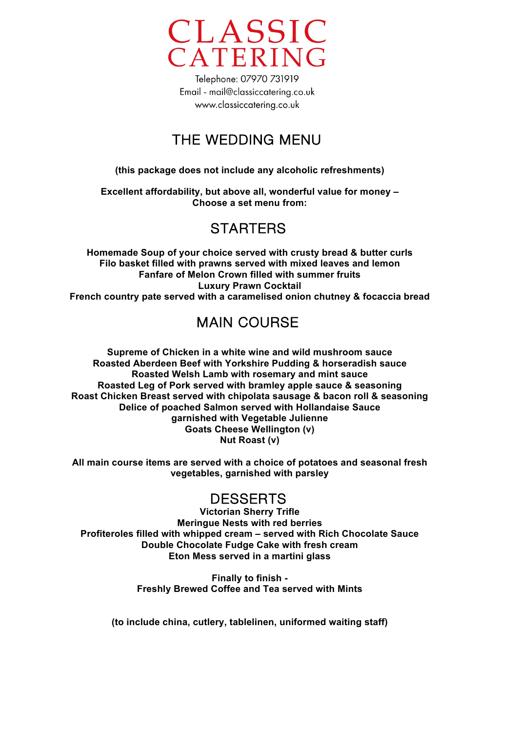

# THE WEDDING MENU

**(this package does not include any alcoholic refreshments)**

**Excellent affordability, but above all, wonderful value for money – Choose a set menu from:**

# **STARTFRS**

**Homemade Soup of your choice served with crusty bread & butter curls Filo basket filled with prawns served with mixed leaves and lemon Fanfare of Melon Crown filled with summer fruits Luxury Prawn Cocktail French country pate served with a caramelised onion chutney & focaccia bread**

# MAIN COURSE

**Supreme of Chicken in a white wine and wild mushroom sauce Roasted Aberdeen Beef with Yorkshire Pudding & horseradish sauce Roasted Welsh Lamb with rosemary and mint sauce Roasted Leg of Pork served with bramley apple sauce & seasoning Roast Chicken Breast served with chipolata sausage & bacon roll & seasoning Delice of poached Salmon served with Hollandaise Sauce garnished with Vegetable Julienne Goats Cheese Wellington (v) Nut Roast (v)**

**All main course items are served with a choice of potatoes and seasonal fresh vegetables, garnished with parsley**

### DESSERTS

**Victorian Sherry Trifle Meringue Nests with red berries Profiteroles filled with whipped cream – served with Rich Chocolate Sauce Double Chocolate Fudge Cake with fresh cream Eton Mess served in a martini glass**

> **Finally to finish - Freshly Brewed Coffee and Tea served with Mints**

**(to include china, cutlery, tablelinen, uniformed waiting staff)**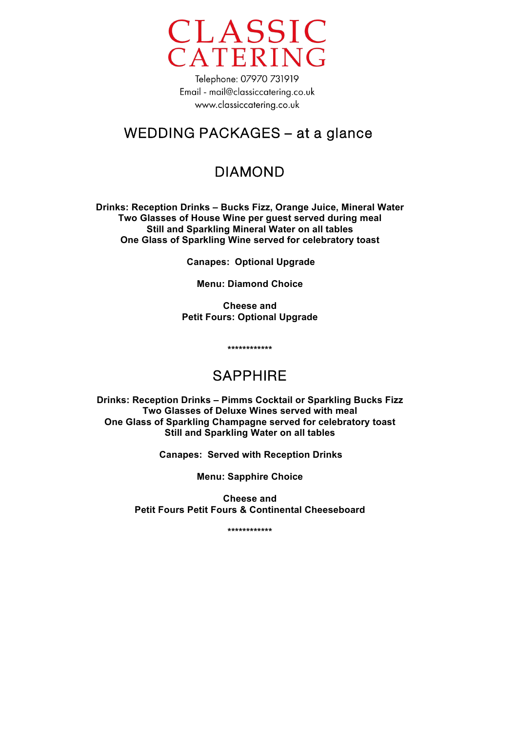

### WEDDING PACKAGES – at a glance

## DIAMOND

**Drinks: Reception Drinks – Bucks Fizz, Orange Juice, Mineral Water Two Glasses of House Wine per guest served during meal Still and Sparkling Mineral Water on all tables One Glass of Sparkling Wine served for celebratory toast**

**Canapes: Optional Upgrade**

**Menu: Diamond Choice**

**Cheese and Petit Fours: Optional Upgrade**

**\*\*\*\*\*\*\*\*\*\*\*\*** 

## SAPPHIRE

**Drinks: Reception Drinks – Pimms Cocktail or Sparkling Bucks Fizz Two Glasses of Deluxe Wines served with meal One Glass of Sparkling Champagne served for celebratory toast Still and Sparkling Water on all tables**

**Canapes: Served with Reception Drinks**

**Menu: Sapphire Choice**

**Cheese and Petit Fours Petit Fours & Continental Cheeseboard**

**\*\*\*\*\*\*\*\*\*\*\*\***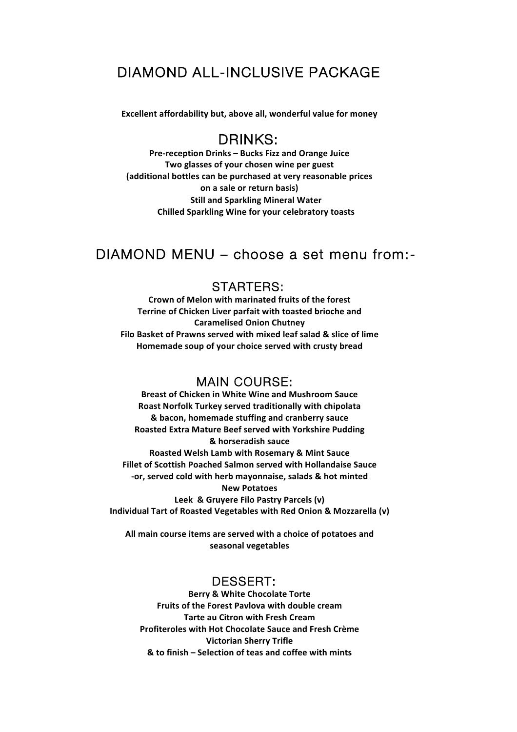### DIAMOND ALL-INCLUSIVE PACKAGE

Excellent affordability but, above all, wonderful value for money

### DRINKS:

Pre-reception Drinks – Bucks Fizz and Orange Juice Two glasses of your chosen wine per guest (additional bottles can be purchased at very reasonable prices **on a sale or return basis) Still and Sparkling Mineral Water Chilled Sparkling Wine for your celebratory toasts** 

### DIAMOND MENU – choose a set menu from:-

#### STARTERS:

Crown of Melon with marinated fruits of the forest Terrine of Chicken Liver parfait with toasted brioche and **Caramelised Onion Chutney** Filo Basket of Prawns served with mixed leaf salad & slice of lime Homemade soup of your choice served with crusty bread

#### MAIN COURSE:

**Breast of Chicken in White Wine and Mushroom Sauce** Roast Norfolk Turkey served traditionally with chipolata  $& bacon, homemade$  stuffing and cranberry sauce Roasted Extra Mature Beef served with Yorkshire Pudding **& horseradish sauce Roasted Welsh Lamb with Rosemary & Mint Sauce Fillet of Scottish Poached Salmon served with Hollandaise Sauce** -or, served cold with herb mayonnaise, salads & hot minted **New(Potatoes** Leek & Gruyere Filo Pastry Parcels (v) Individual Tart of Roasted Vegetables with Red Onion & Mozzarella (v)

All main course items are served with a choice of potatoes and seasonal vegetables

#### DESSERT:

**Berry & White Chocolate Torte Fruits of the Forest Pavlova with double cream Tarte au Citron with Fresh Cream** Profiteroles with Hot Chocolate Sauce and Fresh Crème **Victorian Sherry Trifle & to finish – Selection of teas and coffee with mints**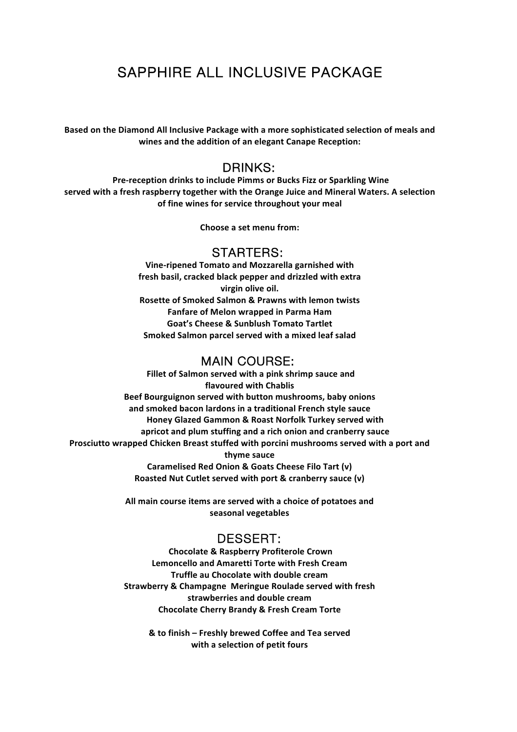## SAPPHIRE ALL INCLUSIVE PACKAGE

Based on the Diamond All Inclusive Package with a more sophisticated selection of meals and wines and the addition of an elegant Canape Reception:

#### DRINKS:

**Pre-reception drinks to include Pimms or Bucks Fizz or Sparkling Wine** served with a fresh raspberry together with the Orange Juice and Mineral Waters. A selection of fine wines for service throughout your meal

**Choose a set menu from:** 

#### STARTERS:

**Vine-ripened Tomato and Mozzarella garnished with** fresh basil, cracked black pepper and drizzled with extra virgin olive oil. **Rosette of Smoked Salmon & Prawns with lemon twists Fanfare of Melon wrapped in Parma Ham** Goat's Cheese & Sunblush Tomato Tartlet Smoked Salmon parcel served with a mixed leaf salad

#### MAIN COURSE:

Fillet of Salmon served with a pink shrimp sauce and **flavoured with Chablis Beef Bourguignon served with button mushrooms, baby onions** and smoked bacon lardons in a traditional French style sauce Honey Glazed Gammon & Roast Norfolk Turkey served with apricot and plum stuffing and a rich onion and cranberry sauce Prosciutto wrapped Chicken Breast stuffed with porcini mushrooms served with a port and thyme sauce Caramelised Red Onion & Goats Cheese Filo Tart (v) **Roasted Nut Cutlet served with port & cranberry sauce (v)** 

> All main course items are served with a choice of potatoes and seasonal vegetables

#### DESSERT:

**Chocolate & Raspberry Profiterole Crown Lemoncello and Amaretti Torte with Fresh Cream Truffle au Chocolate with double cream** Strawberry & Champagne Meringue Roulade served with fresh strawberries and double cream **Chocolate Cherry Brandy & Fresh Cream Torte** 

& to finish – Freshly brewed Coffee and Tea served with a selection of petit fours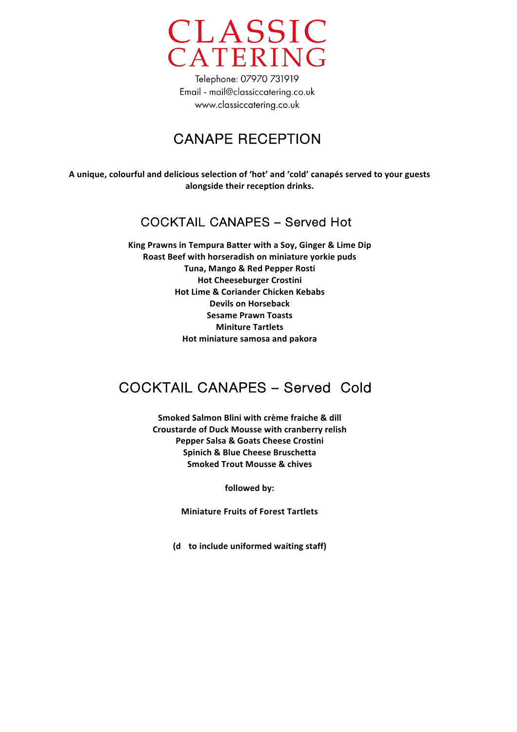

## CANAPE RECEPTION

A unique, colourful and delicious selection of 'hot' and 'cold' canapés served to your guests alongside their reception drinks.

### COCKTAIL CANAPES – Served Hot

King Prawns in Tempura Batter with a Soy, Ginger & Lime Dip Roast Beef with horseradish on miniature yorkie puds **Tuna, Mango & Red Pepper Rosti Hot Cheeseburger Crostini Hot Lime & Coriander Chicken Kebabs Devils on Horseback Sesame Prawn Toasts Miniture Tartlets Hot miniature samosa and pakora** 

## COCKTAIL CANAPES – Served Cold

Smoked Salmon Blini with crème fraiche & dill **Croustarde of Duck Mousse with cranberry relish** Pepper Salsa & Goats Cheese Crostini **Spinich & Blue Cheese Bruschetta Smoked Trout Mousse & chives** 

followed by:

**Miniature Fruits of Forest Tartlets** 

(d to include uniformed waiting staff)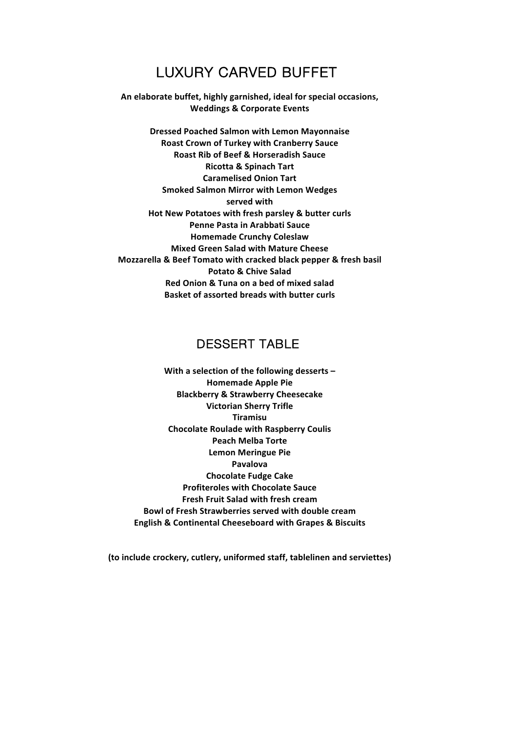### LUXURY CARVED BUFFET

An elaborate buffet, highly garnished, ideal for special occasions, **Weddings & Corporate Events** 

**Dressed Poached Salmon with Lemon Mayonnaise Roast Crown of Turkey with Cranberry Sauce Roast Rib of Beef & Horseradish Sauce Ricotta & Spinach Tart Caramelised Onion Tart Smoked Salmon Mirror with Lemon Wedges** served with Hot New Potatoes with fresh parsley & butter curls **Penne Pasta in Arabbati Sauce Homemade Crunchy Coleslaw Mixed Green Salad with Mature Cheese Mozzarella & Beef Tomato with cracked black pepper & fresh basil Potato & Chive Salad** Red Onion & Tuna on a bed of mixed salad **Basket of assorted breads with butter curls** 

#### DESSERT TABLE

With a selection of the following desserts-**Homemade Apple Pie Blackberry & Strawberry Cheesecake Victorian Sherry Trifle Tiramisu Chocolate Roulade with Raspberry Coulis Peach Melba Torte Lemon Meringue Pie Pavalova Chocolate Fudge Cake Profiteroles with Chocolate Sauce Fresh Fruit Salad with fresh cream Bowl of Fresh Strawberries served with double cream English & Continental Cheeseboard with Grapes & Biscuits** 

(to include crockery, cutlery, uniformed staff, tablelinen and serviettes)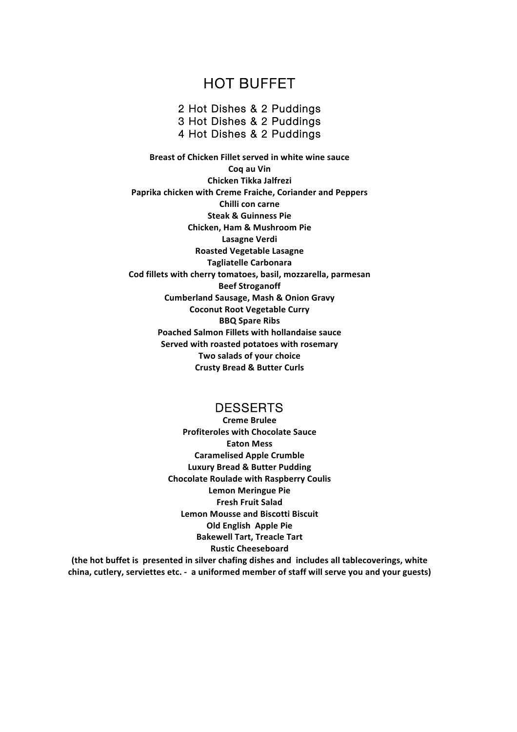### HOT BUFFET

2 Hot Dishes & 2 Puddings 3 Hot Dishes & 2 Puddings 4 Hot Dishes & 2 Puddings

**Breast of Chicken Fillet served in white wine sauce Cog au Vin Chicken Tikka Jalfrezi** Paprika chicken with Creme Fraiche, Coriander and Peppers **Chilli con carne Steak & Guinness Pie Chicken, Ham & Mushroom Pie Lasagne Verdi Roasted Vegetable Lasagne Tagliatelle(Carbonara** Cod fillets with cherry tomatoes, basil, mozzarella, parmesan **Beef Stroganoff Cumberland Sausage, Mash & Onion Gravy Coconut Root Vegetable Curry BBQ Spare Ribs** Poached Salmon Fillets with hollandaise sauce Served with roasted potatoes with rosemary **Two salads of your choice Crusty Bread & Butter Curls** 

#### **DESSERTS**

**Creme Brulee Profiteroles with Chocolate Sauce Eaton Mess Caramelised Apple Crumble Luxury Bread & Butter Pudding Chocolate Roulade with Raspberry Coulis Lemon Meringue Pie Fresh Fruit Salad Lemon Mousse and Biscotti Biscuit Old English Apple Pie Bakewell Tart, Treacle Tart Rustic Cheeseboard**

(the hot buffet is presented in silver chafing dishes and includes all tablecoverings, white china, cutlery, serviettes etc. - a uniformed member of staff will serve you and your guests)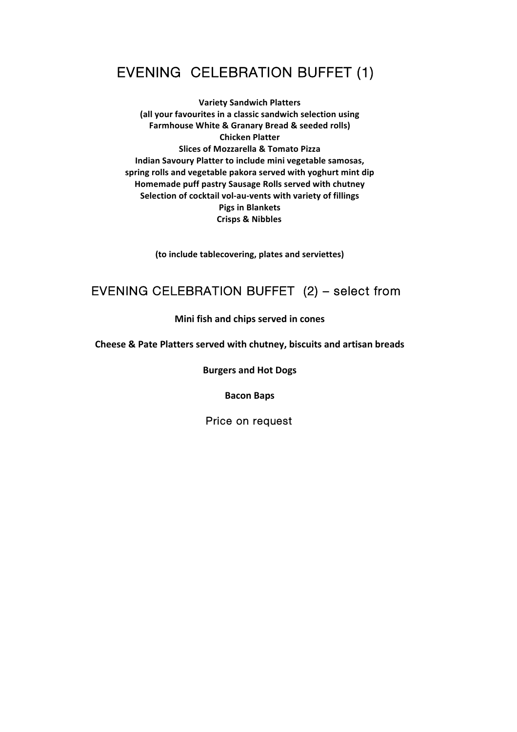# EVENING CELEBRATION BUFFET (1)

**Variety Sandwich Platters** (all your favourites in a classic sandwich selection using **Farmhouse White & Granary Bread & seeded rolls) Chicken Platter Slices of Mozzarella & Tomato Pizza** Indian Savoury Platter to include mini vegetable samosas, spring rolls and vegetable pakora served with yoghurt mint dip **Homemade puff pastry Sausage Rolls served with chutney** Selection of cocktail vol-au-vents with variety of fillings **Pigs in Blankets Crisps & Nibbles** 

(to include tablecovering, plates and serviettes)

### EVENING CELEBRATION BUFFET (2) – select from

#### **Mini fish and chips served in cones**

**Cheese & Pate Platters served with chutney, biscuits and artisan breads** 

**Burgers and Hot Dogs** 

**Bacon Baps** 

Price on request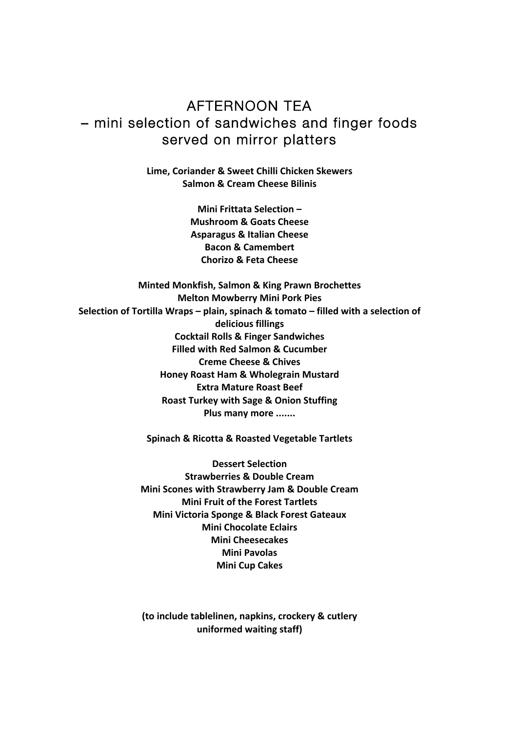### AFTERNOON TEA – mini selection of sandwiches and finger foods served on mirror platters

**Lime, Coriander & Sweet Chilli Chicken Skewers Salmon & Cream Cheese Bilinis** 

> **Mini Frittata Selection -Mushroom & Goats Cheese Asparagus & Italian Cheese Bacon & Camembert Chorizo & Feta Cheese**

**Minted Monkfish, Salmon & King Prawn Brochettes Melton Mowberry Mini Pork Pies** Selection of Tortilla Wraps - plain, spinach & tomato - filled with a selection of delicious fillings **Cocktail Rolls & Finger Sandwiches Filled with Red Salmon & Cucumber Creme Cheese & Chives Honey Roast Ham & Wholegrain Mustard Extra Mature Roast Beef Roast Turkey with Sage & Onion Stuffing** Plus many more .......

Spinach & Ricotta & Roasted Vegetable Tartlets

**Dessert Selection Strawberries & Double Cream Mini Scones with Strawberry Jam & Double Cream Mini Fruit of the Forest Tartlets Mini Victoria Sponge & Black Forest Gateaux Mini Chocolate Eclairs Mini Cheesecakes Mini Pavolas Mini Cup Cakes** 

(to include tablelinen, napkins, crockery & cutlery **uniformed waiting staff)**